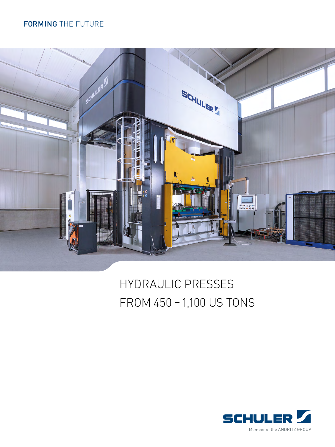### **FORMING** THE FUTURE



# HYDRAULIC PRESSES FROM 450-1,100 US TONS

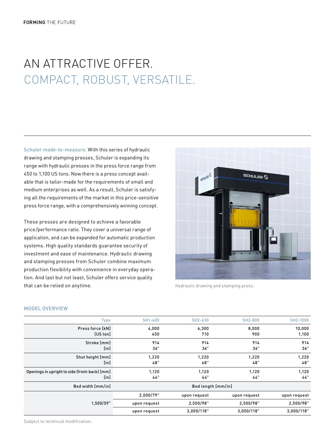### AN ATTRACTIVE OFFER. COMPACT, ROBUST, VERSATILE.

Schuler made-to-measure. With this series of hydraulic drawing and stamping presses, Schuler is expanding its range with hydraulic presses in the press force range from 450 to 1,100 US tons. Now there is a press concept available that is tailor-made for the requirements of small and medium enterprises as well. As a result, Schuler is satisfying all the requirements of the market in this price-sensitive press force range, with a comprehensively winning concept.

These presses are designed to achieve a favorable price/performance ratio. They cover a universal range of application, and can be expanded for automatic production systems. High quality standards guarantee security of investment and ease of maintenance. Hydraulic drawing and stamping presses from Schuler combine maximum production flexibility with convenience in everyday operation. And last but not least, Schuler offers service quality that can be relied on anytime.



Hydraulic drawing and stamping press.

| SH1-400            | SH2-630      | SH2-800      | SH2-1000     |
|--------------------|--------------|--------------|--------------|
| 4,000              | 6,300        | 8,000        | 10,000       |
| 450                | 710          | 900          | 1,100        |
| 914                | 914          | 914          | 914          |
| 36"                | 36"          | 36"          | 36"          |
| 1,220              | 1,220        | 1,220        | 1,220        |
| 48"                | 48"          | 48"          | 48"          |
| 1,120              | 1,120        | 1,120        | 1,120        |
| 44"                | 44"          | 44"          | 44"          |
| Bed length [mm/in] |              |              |              |
| 2,000/79"          | upon request | upon request | upon request |
| upon request       | 2,500/98"    | 2,500/98"    | 2,500/98"    |
| upon request       | 3,000/118"   | 3,000/118"   | 3,000/118"   |
|                    |              |              |              |

#### MODEL OVERVIEW

Subject to technical modification.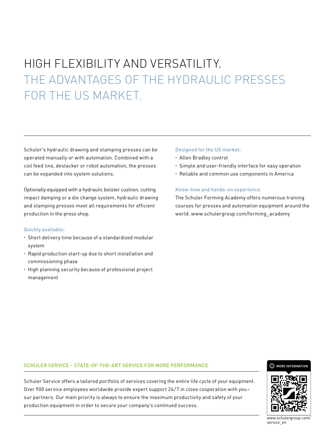## HIGH FLEXIBILITY AND VERSATILITY. THE ADVANTAGES OF THE HYDRAULIC PRESSES FOR THE US MARKET.

Schuler's hydraulic drawing and stamping presses can be operated manually or with automation. Combined with a coil feed line, destacker or robot automation, the presses can be expanded into system solutions.

Optionally equipped with a hydraulic bolster cushion, cutting impact damping or a die change system, hydraulic drawing and stamping presses meet all requirements for efficient production in the press shop.

#### Quickly available:

- Short delivery time because of a standardized modular system
- Rapid production start-up due to short installation and commissioning phase
- High planning security because of professional project management

#### Designed for the US market:

- Allen Bradley control
- Simple and user-friendly interface for easy operation
- Reliable and common use components in America

#### Know-how and hands-on experience.

The Schuler Forming Academy offers numerous training courses for presses and automation equipment around the world. www.schulergroup.com/forming\_academy

### SCHULER SERVICE – STATE-OF-THE-ART SERVICE FOR MORE PERFORMANCE

Schuler Service offers a tailored portfolio of services covering the entire life cycle of your equipment. Over 900 service employees worldwide provide expert support 24/7 in close cooperation with you– our partners. Our main priority is always to ensure the maximum productivity and safety of your production equipment in order to secure your company's continued success.





www.schulergroup.com/ service\_en